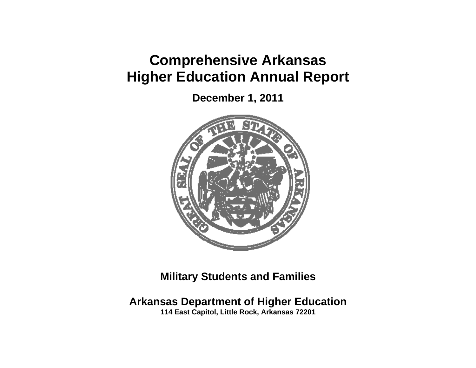## **Comprehensive Arkansas Higher Education Annual Report**

**December 1, 2011** 



**Military Students and Families** 

**Arkansas Department of Higher Education** 

**114 East Capitol, Little Rock, Arkansas 72201**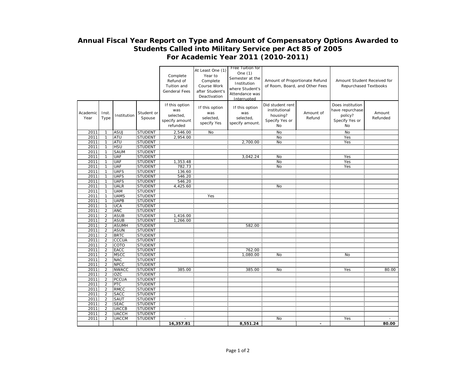## **Annual Fiscal Year Report on Type and Amount of Compensatory Options Awarded to Students Called into Military Service per Act 85 of 2005 For Academic Year 2011 (2010-2011)**

 $\overline{\phantom{0}}$ 

|                     |                         |                     |                               | Complete<br>Refund of<br>Tuition and<br><b>Genderal Fees</b>     | At Least One (1)<br>Year to<br>Complete<br>Course Work<br>after Student's<br>Deactivation | Free Tuition for<br>One (1)<br>Semester at the<br>Institution<br>where Student's<br>Attendance was<br>Interrupted | Amount of Proportionate Refund<br>of Room, Board, and Other Fees      |                     | Amount Student Received for<br>Repurchased Textbooks                   |                    |
|---------------------|-------------------------|---------------------|-------------------------------|------------------------------------------------------------------|-------------------------------------------------------------------------------------------|-------------------------------------------------------------------------------------------------------------------|-----------------------------------------------------------------------|---------------------|------------------------------------------------------------------------|--------------------|
| Academic<br>Year    | Inst.<br>Type           | Institution         | Student or<br>Spouse          | If this option<br>was<br>selected,<br>specify amount<br>refunded | If this option<br>was<br>selected,<br>specify Yes                                         | If this option<br>was<br>selected,<br>specify amount.                                                             | Did student rent<br>institutional<br>housing?<br>Specify Yes or<br>No | Amount of<br>Refund | Does institution<br>have repurchase<br>policy?<br>Specify Yes or<br>No | Amount<br>Refunded |
| 2011                |                         | ASUJ                | <b>STUDENT</b>                | 2,546.00                                                         | No                                                                                        |                                                                                                                   | $\frac{N}{N}$                                                         |                     | $\overline{N}$                                                         |                    |
| 2011                |                         | ATU<br>"ATU         | STUDENT                       | 2,954.00                                                         |                                                                                           |                                                                                                                   |                                                                       |                     | Yes                                                                    |                    |
| 2011                |                         |                     | STUDENT                       |                                                                  |                                                                                           | 2.700.00                                                                                                          | $\frac{1}{N}$                                                         |                     | Yes                                                                    |                    |
| 2011                |                         | <b>HSU</b>          | STUDENT                       |                                                                  |                                                                                           |                                                                                                                   |                                                                       |                     |                                                                        |                    |
| 2011<br>2011        |                         | <b>SAUM</b>         | <b>STUDENT</b>                |                                                                  |                                                                                           |                                                                                                                   |                                                                       |                     |                                                                        |                    |
|                     |                         | UAF                 | STÜDENT                       |                                                                  |                                                                                           | ,042.24                                                                                                           | No<br>No                                                              |                     | Yes<br>Yes                                                             |                    |
| 2011                |                         | <b>UAF</b>          | STUDENT                       | 1,353.48                                                         |                                                                                           |                                                                                                                   |                                                                       |                     |                                                                        |                    |
| 2011                |                         | UAF                 | <b>STUDENT</b>                | 782.73                                                           |                                                                                           |                                                                                                                   | $\frac{1}{N}$                                                         |                     | Yes                                                                    |                    |
| 2011                |                         | <b>UAFS</b>         | <b>STUDENT</b>                | 136.60                                                           |                                                                                           |                                                                                                                   |                                                                       |                     |                                                                        |                    |
| 2011                |                         | <b>UAFS</b><br>UAFS | <b>STUDENT</b>                | 546.20                                                           |                                                                                           |                                                                                                                   |                                                                       |                     |                                                                        |                    |
| 2011<br>2011        |                         | <b>UALR</b>         | STUDENT<br>STUDENT            | $\frac{546.20}{4,425.60}$                                        |                                                                                           |                                                                                                                   |                                                                       |                     |                                                                        |                    |
|                     |                         |                     | <b>STUDENT</b>                |                                                                  |                                                                                           |                                                                                                                   | No                                                                    |                     |                                                                        |                    |
| 2011                |                         | UAM<br>UAMS         |                               |                                                                  | Yes                                                                                       |                                                                                                                   |                                                                       |                     |                                                                        |                    |
| 2011<br>2011        |                         | UAPB                | STUDENT<br>STUDENT            |                                                                  |                                                                                           |                                                                                                                   |                                                                       |                     |                                                                        |                    |
| 2011                |                         | <b>UCA</b>          | <b>STUDENT</b>                |                                                                  |                                                                                           |                                                                                                                   |                                                                       |                     |                                                                        |                    |
| 2011                | 2                       | ANC                 | STUDENT                       |                                                                  |                                                                                           |                                                                                                                   |                                                                       |                     |                                                                        |                    |
| 2011                | $\overline{\mathbf{c}}$ | ASUB                | <b>STUDENT</b>                | 1,416.00                                                         |                                                                                           |                                                                                                                   |                                                                       |                     |                                                                        |                    |
| 2011                | 2                       | ASUB                | STUDENT                       | 1,266.00                                                         |                                                                                           |                                                                                                                   |                                                                       |                     |                                                                        |                    |
| 2011                | 2                       |                     | STUDENT                       |                                                                  |                                                                                           | 582.00                                                                                                            |                                                                       |                     |                                                                        |                    |
| $\frac{2011}{2011}$ |                         | <b>ASUMH</b>        | STUDENT                       |                                                                  |                                                                                           |                                                                                                                   |                                                                       |                     |                                                                        |                    |
| 2011                | 2                       | <b>BRTC</b>         | STUDENT                       |                                                                  |                                                                                           |                                                                                                                   |                                                                       |                     |                                                                        |                    |
| 2011                | 2                       | CCCUA               | STUDENT                       |                                                                  |                                                                                           |                                                                                                                   |                                                                       |                     |                                                                        |                    |
| 2011                |                         | COTO                | STUDENT                       |                                                                  |                                                                                           |                                                                                                                   |                                                                       |                     |                                                                        |                    |
| 2011                | $\frac{2}{2}$           | EACC                | <b>STUDENT</b>                |                                                                  |                                                                                           | 762.00                                                                                                            |                                                                       |                     |                                                                        |                    |
| 2011                | 2                       | <b>MSCC</b>         | <b>STUDENT</b>                |                                                                  |                                                                                           | 1.080.00                                                                                                          | No                                                                    |                     | No                                                                     |                    |
| 2011                | 2                       | NAC                 | <b>STUDENT</b>                |                                                                  |                                                                                           |                                                                                                                   |                                                                       |                     |                                                                        |                    |
| 2011<br>2011        |                         | NPCC                | STUDENT                       |                                                                  |                                                                                           |                                                                                                                   |                                                                       |                     |                                                                        |                    |
|                     | $\overline{2}$          | NWACC               | STUDENT                       | 385.00                                                           |                                                                                           | 385.00                                                                                                            | <b>No</b>                                                             |                     | Yes                                                                    | 80.00              |
| 2011                | $\overline{2}$          |                     | <b>STUDENT</b>                |                                                                  |                                                                                           |                                                                                                                   |                                                                       |                     |                                                                        |                    |
| 2011<br>2011        | 2                       | OZC<br>PCCUA<br>PTC | STUDENT                       |                                                                  |                                                                                           |                                                                                                                   |                                                                       |                     |                                                                        |                    |
|                     | $\overline{2}$          |                     | STUDENT                       |                                                                  |                                                                                           |                                                                                                                   |                                                                       |                     |                                                                        |                    |
| 2011                |                         | RMCC                | STUDENT                       |                                                                  |                                                                                           |                                                                                                                   |                                                                       |                     |                                                                        |                    |
| 2011                | 2                       | SACC                | <b>STUDENT</b>                |                                                                  |                                                                                           |                                                                                                                   |                                                                       |                     |                                                                        |                    |
| 2011                | 2                       | SAUT<br>SEAC        | STUDENT<br>STUDENT<br>STUDENT |                                                                  |                                                                                           |                                                                                                                   |                                                                       |                     |                                                                        |                    |
| 2011                | 2                       | UACCB               |                               |                                                                  |                                                                                           |                                                                                                                   |                                                                       |                     |                                                                        |                    |
| 2011<br>2011        | $\mathcal{P}$           | <b>UACCH</b>        | STUDENT                       |                                                                  |                                                                                           |                                                                                                                   |                                                                       |                     |                                                                        |                    |
| 2011                | 2                       | <b>UACCM</b>        | <b>STUDENT</b>                |                                                                  |                                                                                           |                                                                                                                   | No                                                                    |                     | Yes                                                                    |                    |
|                     |                         |                     |                               | 16,357.81                                                        |                                                                                           | 8,551.24                                                                                                          |                                                                       | $\blacksquare$      |                                                                        | 80.00              |
|                     |                         |                     |                               |                                                                  |                                                                                           |                                                                                                                   |                                                                       |                     |                                                                        |                    |